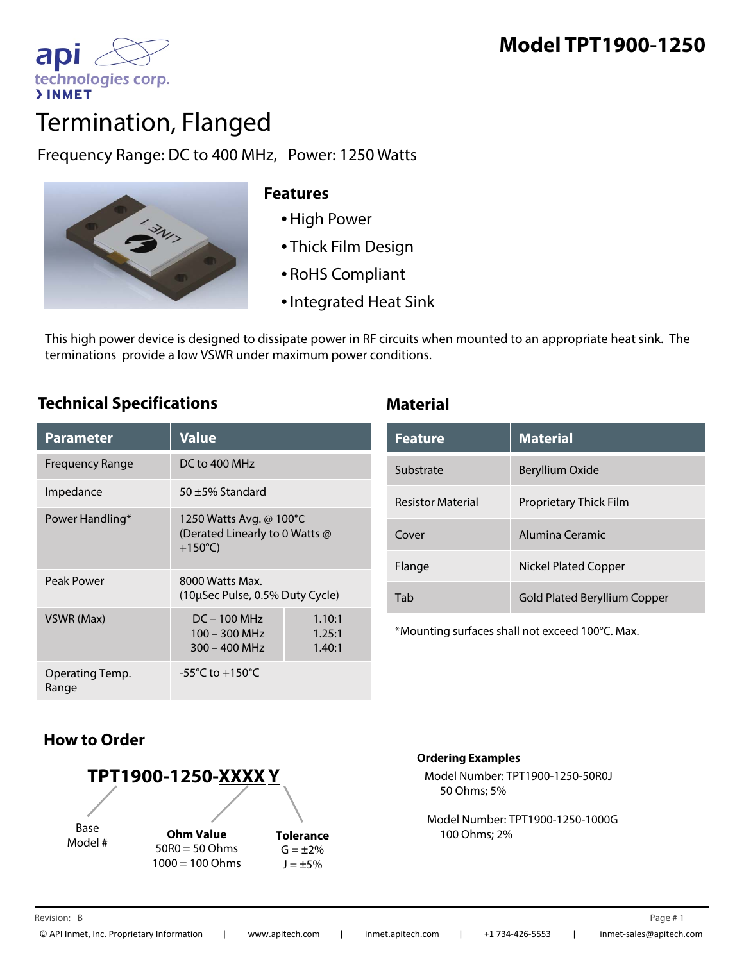

# Termination, Flanged

Frequency Range: DC to 400 MHz, Power: 1250 Watts



## **Features**

- •High Power
- Thick Film Design
- RoHS Compliant
- •Integrated Heat Sink

This high power device is designed to dissipate power in RF circuits when mounted to an appropriate heat sink. The terminations provide a low VSWR under maximum power conditions.

# **Technical Specifications Material**

| Parameter                | <b>Value</b>                                                                   |                            |
|--------------------------|--------------------------------------------------------------------------------|----------------------------|
| Frequency Range          | DC to 400 MHz                                                                  |                            |
| Impedance                | $50 + 5%$ Standard                                                             |                            |
| Power Handling*          | 1250 Watts Avg. @ 100°C<br>(Derated Linearly to 0 Watts @<br>$+150^{\circ}$ C) |                            |
| Peak Power               | 8000 Watts Max.<br>(10µSec Pulse, 0.5% Duty Cycle)                             |                            |
| VSWR (Max)               | $DC - 100 MHz$<br>$100 - 300$ MHz<br>$300 - 400$ MHz                           | 1.10:1<br>1.25:1<br>1.40:1 |
| Operating Temp.<br>Range | $-55^{\circ}$ C to $+150^{\circ}$ C                                            |                            |

| <b>lue</b>                                                                                                                     | <b>Feature</b>           | <b>Material</b>                     |  |
|--------------------------------------------------------------------------------------------------------------------------------|--------------------------|-------------------------------------|--|
| to 400 MHz                                                                                                                     | Substrate                | Beryllium Oxide                     |  |
| ±5% Standard<br>50 Watts Avg. @ 100°C<br>rated Linearly to 0 Watts @<br>50°C)<br>00 Watts Max.<br>µSec Pulse, 0.5% Duty Cycle) | <b>Resistor Material</b> | Proprietary Thick Film              |  |
|                                                                                                                                | Cover                    | Alumina Ceramic                     |  |
|                                                                                                                                | Flange                   | <b>Nickel Plated Copper</b>         |  |
|                                                                                                                                | Tab                      | <b>Gold Plated Beryllium Copper</b> |  |
|                                                                                                                                |                          |                                     |  |

\*Mounting surfaces shall not exceed 100°C. Max.

# **How to Order**



### **Ordering Examples**

Model Number: TPT1900-1250-50R0J 50 Ohms; 5%

Model Number: TPT1900-1250-1000G 100 Ohms; 2%